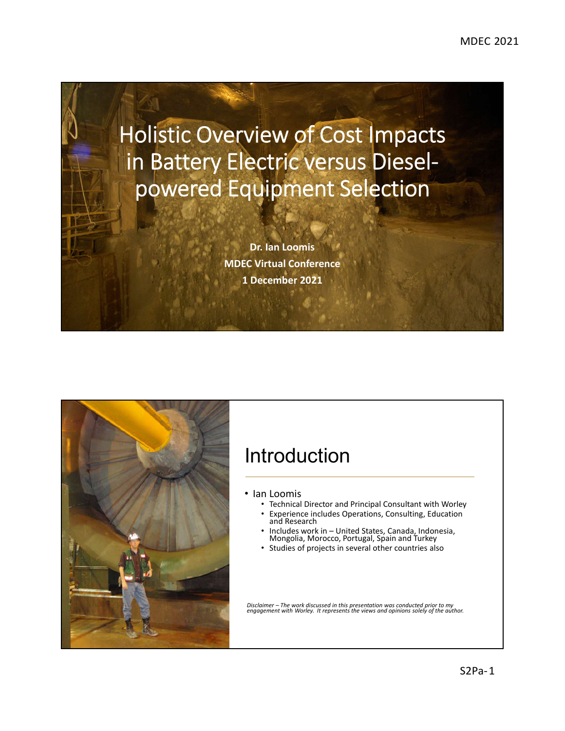# Holistic Overview of Cost Impacts in Battery Electric versus Dieselpowered Equipment Selection

**Dr. Ian Loomis MDEC Virtual Conference 1 December 2021**



#### Introduction

- Ian Loomis
	- Technical Director and Principal Consultant with Worley
	- Experience includes Operations, Consulting, Education and Research
	- Includes work in United States, Canada, Indonesia, Mongolia, Morocco, Portugal, Spain and Turkey
	- Studies of projects in several other countries also

*Disclaimer – The work discussed in this presentation was conducted prior to my engagement with Worley. It represents the views and opinions solely of the author.*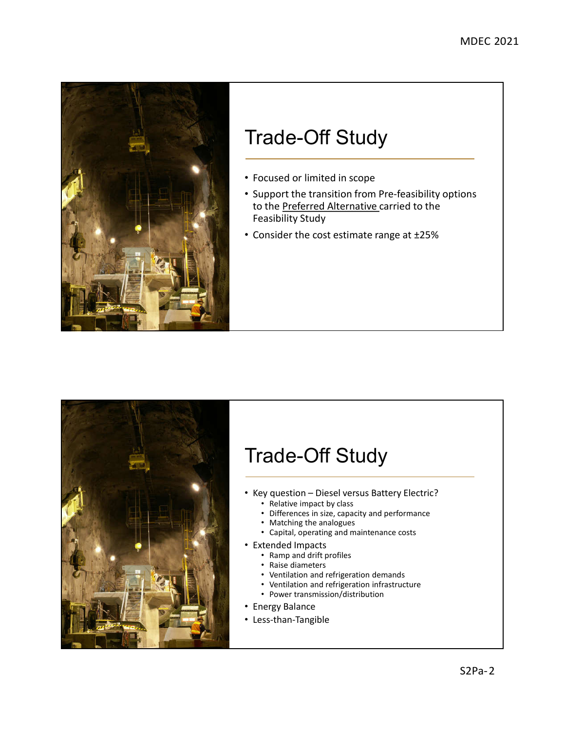

## Trade-Off Study

- Focused or limited in scope
- Support the transition from Pre-feasibility options to the Preferred Alternative carried to the Feasibility Study
- Consider the cost estimate range at ±25%



## Trade-Off Study

- Key question Diesel versus Battery Electric?
	- Relative impact by class
	- Differences in size, capacity and performance
	- Matching the analogues
	- Capital, operating and maintenance costs
- Extended Impacts
	- Ramp and drift profiles
	- Raise diameters
	- Ventilation and refrigeration demands
	- Ventilation and refrigeration infrastructure
	- Power transmission/distribution
- Energy Balance
- Less-than-Tangible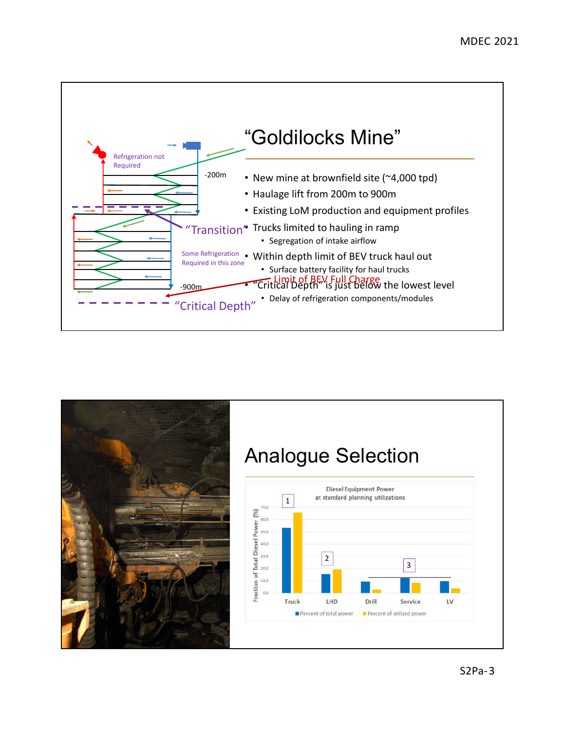

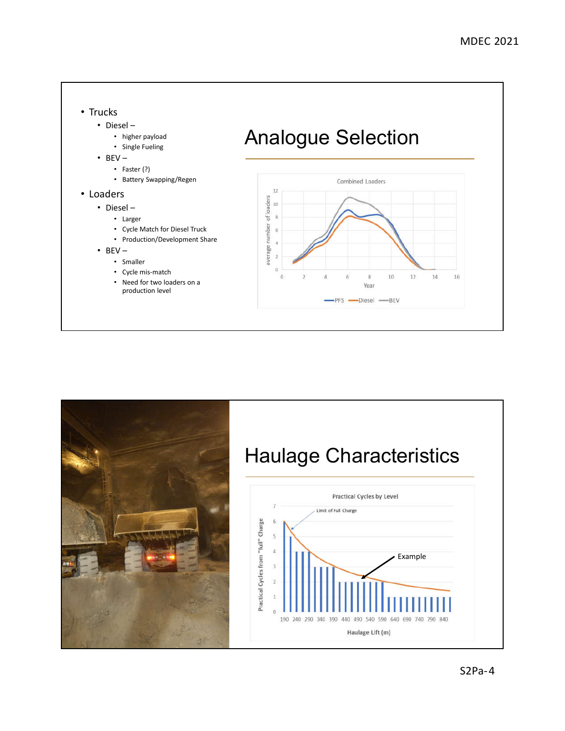



#### S2Pa-4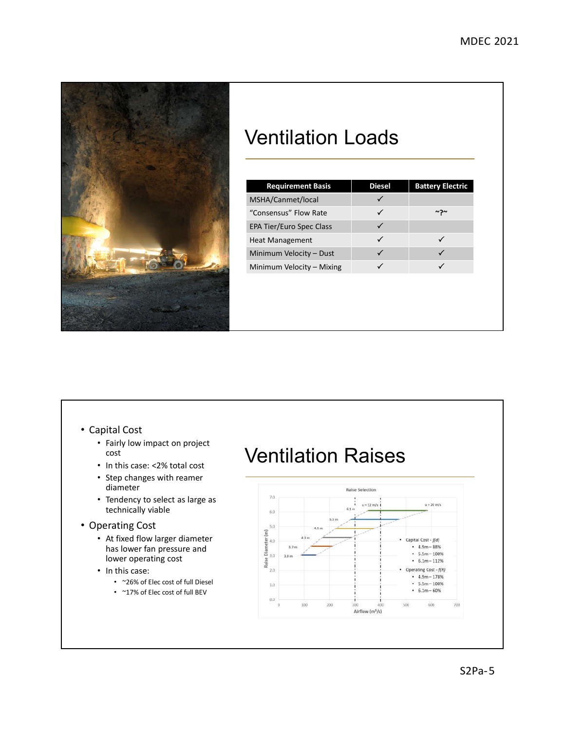

### Ventilation Loads

| MSHA/Canmet/local<br>"Consensus" Flow Rate<br>∼יר<br><b>EPA Tier/Euro Spec Class</b><br>✓<br>✓<br><b>Heat Management</b><br>Minimum Velocity - Dust<br>✓<br>Minimum Velocity – Mixing | <b>Requirement Basis</b> | <b>Diesel</b> | <b>Battery Electric</b> |
|---------------------------------------------------------------------------------------------------------------------------------------------------------------------------------------|--------------------------|---------------|-------------------------|
|                                                                                                                                                                                       |                          |               |                         |
|                                                                                                                                                                                       |                          |               |                         |
|                                                                                                                                                                                       |                          |               |                         |
|                                                                                                                                                                                       |                          |               |                         |
|                                                                                                                                                                                       |                          |               |                         |
|                                                                                                                                                                                       |                          |               |                         |
|                                                                                                                                                                                       |                          |               |                         |
|                                                                                                                                                                                       |                          |               |                         |
|                                                                                                                                                                                       |                          |               |                         |

#### • Capital Cost

- Fairly low impact on project cost
- In this case: <2% total cost
- Step changes with reamer diameter
- Tendency to select as large as technically viable
- Operating Cost
	- At fixed flow larger diameter has lower fan pressure and lower operating cost
	- In this case:
		- ~26% of Elec cost of full Diesel
		- ~17% of Elec cost of full BEV

#### Ventilation Raises

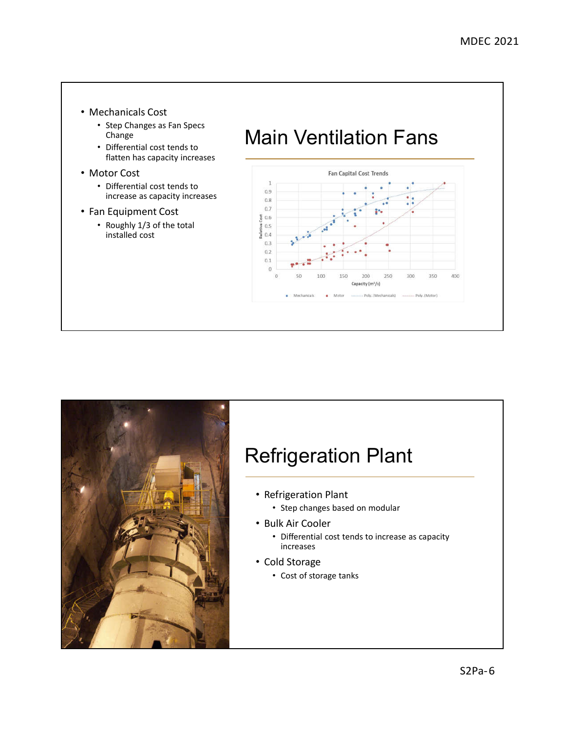- Mechanicals Cost
	- Step Changes as Fan Specs Change
	- Differential cost tends to flatten has capacity increases
- Motor Cost
	- Differential cost tends to increase as capacity increases
- Fan Equipment Cost
	- Roughly 1/3 of the total installed cost

## Main Ventilation Fans





## Refrigeration Plant

- Refrigeration Plant
	- Step changes based on modular
- Bulk Air Cooler
	- Differential cost tends to increase as capacity increases
- Cold Storage
	- Cost of storage tanks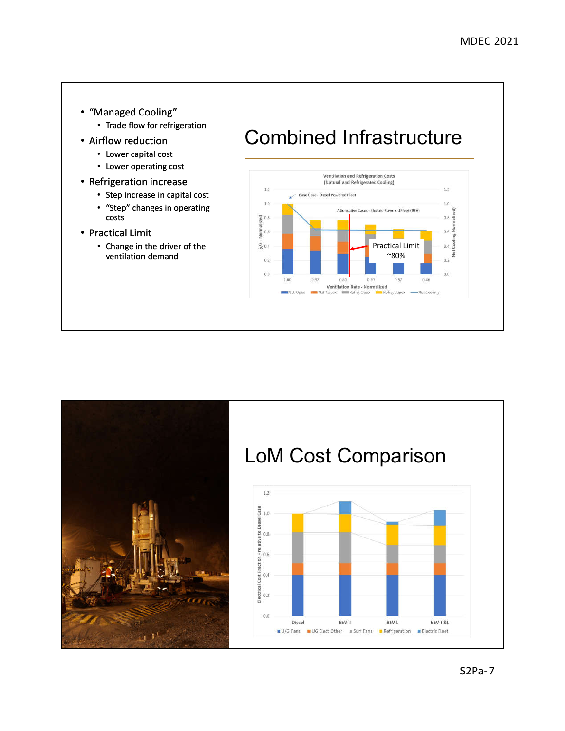- "Managed Cooling"
	- Trade flow for refrigeration
- Airflow reduction
	- Lower capital cost
	- Lower operating cost
- Refrigeration increase
	- Step increase in capital cost • "Step" changes in operating costs
- Practical Limit
	- Change in the driver of the ventilation demand

## Combined Infrastructure



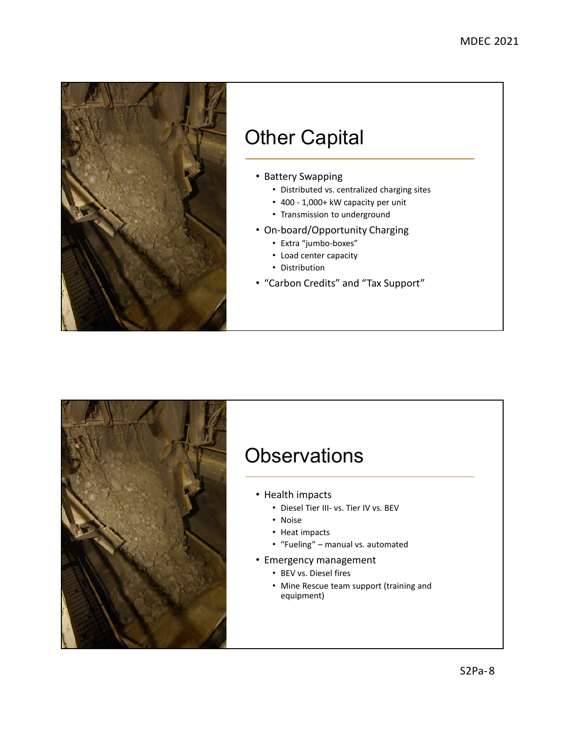

## Other Capital

#### • Battery Swapping

- Distributed vs. centralized charging sites
- 400 1,000+ kW capacity per unit
- Transmission to underground
- On-board/Opportunity Charging
	- Extra "jumbo-boxes"
	- Load center capacity
	- Distribution
- "Carbon Credits" and "Tax Support"



#### **Observations**

- Health impacts
	- Diesel Tier III- vs. Tier IV vs. BEV
	- Noise
	- Heat impacts
	- "Fueling" manual vs. automated
- Emergency management
	- BEV vs. Diesel fires
	- Mine Rescue team support (training and equipment)